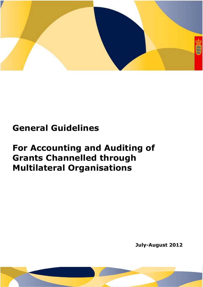

# **General Guidelines**

# **For Accounting and Auditing of Grants Channelled through Multilateral Organisations**

**July-August 2012**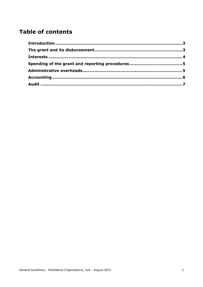# **Table of contents**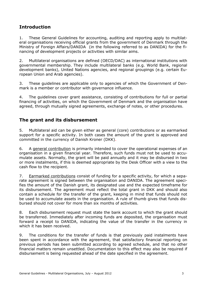## <span id="page-2-0"></span>**Introduction**

1. These General Guidelines for accounting, auditing and reporting apply to multilateral organisations receiving official grants from the government of Denmark through the Ministry of Foreign Affairs/DANIDA (in the following referred to as DANIDA) for the financing of development projects or activities with similar aims.

2. Multilateral organisations are defined (OECD/DAC) as international institutions with governmental membership. They include multilateral banks (e.g. World Bank, regional development banks), United Nations agencies, and regional groupings (e.g. certain European Union and Arab agencies).

3. These guidelines are applicable only to agencies of which the Government of Denmark is a member or contributor with governance influence.

4. The guidelines cover grant assistance, consisting of contributions for full or partial financing of activities, on which the Government of Denmark and the organisation have agreed, through mutually signed agreements, exchange of notes, or other procedures.

#### <span id="page-2-1"></span>**The grant and its disbursement**

5. Multilateral aid can be given either as general (core) contributions or as earmarked support for a specific activity. In both cases the amount of the grant is approved and committed in the currency of Danish Kroner (DKK).

6. A general contribution is primarily intended to cover the operational expenses of an organisation in a given financial year. Therefore, such funds must not be used to accumulate assets. Normally, the grant will be paid annually and it may be disbursed in two or more instalments, if this is deemed appropriate by the Desk Officer with a view to the cash flow to the recipient.

7. Earmarked contributions consist of funding for a specific activity, for which a separate agreement is signed between the organisation and DANIDA. The agreement specifies the amount of the Danish grant, its designated use and the expected timeframe for its disbursement. The agreement must reflect the total grant in DKK and should also contain a schedule for the transfer of the grant, keeping in mind that funds should not be used to accumulate assets in the organisation. A rule of thumb gives that funds disbursed should not cover for more than six months of activities.

8. Each disbursement request must state the bank account to which the grant should be transferred. Immediately after incoming funds are deposited, the organisation must forward a receipt to DANIDA, indicating the value of the transfer in the currency in which it has been received.

9. The conditions for the transfer of funds is that previously paid instalments have been spent in accordance with the agreement, that satisfactory financial reporting on previous periods has been submitted according to agreed schedule, and that no other financial matters remain unsettled. Documentation to this effect may also be required if disbursement is being requested ahead of the date specified in the agreement.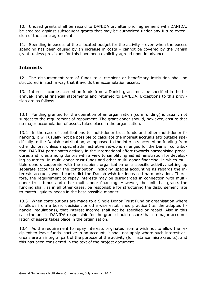10. Unused grants shall be repaid to DANIDA or, after prior agreement with DANIDA, be credited against subsequent grants that may be authorized under any future extension of the same agreement.

11. Spending in excess of the allocated budget for the activity – even when the excess spending has been caused by an increase in costs – cannot be covered by the Danish grant, unless provisions for this have been explicitly agreed upon in advance.

#### <span id="page-3-0"></span>**Interests**

12. The disbursement rate of funds to a recipient or beneficiary institution shall be structured in such a way that it avoids the accumulation assets.

13. Interest income accrued on funds from a Danish grant must be specified in the biannual/ annual financial statements and returned to DANIDA. Exceptions to this provision are as follows:

13.1 Funding granted for the operation of an organisation (core funding) is usually not subject to the requirement of repayment. The grant donor should, however, ensure that no major accumulation of assets takes place in the organisation.

13.2 In the case of contributions to multi-donor trust funds and other multi-donor financing, it will usually not be possible to calculate the interest accruals attributable specifically to the Danish contribution, as opposed to the interests accrued on funding from other donors, unless a special administrative set-up is arranged for the Danish contribution. DANIDA participates actively in the international effort towards harmonising procedures and rules among donors with a view to simplifying aid administration for developing countries. In multi-donor trust funds and other multi-donor financing, in which multiple donors cooperate with the recipient organisation on a specific activity, setting up separate accounts for the contribution, including special accounting as regards the interests accrued, would contradict the Danish wish for increased harmonisation. Therefore, the requirement to repay interests may be disregarded in connection with multidonor trust funds and other multi-donor financing. However, the unit that grants the funding shall, as in all other cases, be responsible for structuring the disbursement rate to match liquidity needs in the best possible manner.

13.3 When contributions are made to a Single Donor Trust Fund or organisation where it follows from a board decision, or otherwise established practice (i.e. the adopted financial regulations), that interest income shall not be specified or repaid. Also in this case the unit in DANIDA responsible for the grant should ensure that no major accumulation of assets takes place in the organisation.

13.4 As the requirement to repay interests originates from a wish not to allow the recipient to leave funds inactive in an account, it shall not apply where such interest accruals are an integral part of the purpose of the activity (for instance micro credits), and this has been considered in the text of the project document.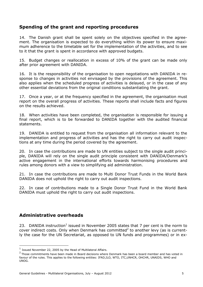#### <span id="page-4-0"></span>**Spending of the grant and reporting procedures**

14. The Danish grant shall be spent solely on the objectives specified in the agreement. The organisation is expected to do everything within its power to ensure maximum adherence to the timetable set for the implementation of the activities, and to see to it that the grant is spent in accordance with approved budgets.

15. Budget changes or reallocation in excess of 10% of the grant can be made only after prior agreement with DANIDA.

16. It is the responsibility of the organisation to open negotiations with DANIDA in response to changes in activities not envisaged by the provisions of the agreement. This also applies when the scheduled progress of activities is delayed, or in the case of any other essential deviations from the original conditions substantiating the grant.

17. Once a year, or at the frequency specified in the agreement, the organisation must report on the overall progress of activities. These reports shall include facts and figures on the results achieved.

18. When activities have been completed, the organisation is responsible for issuing a final report, which is to be forwarded to DANIDA together with the audited financial statements.

19. DANIDA is entitled to request from the organisation all information relevant to the implementation and progress of activities and has the right to carry out audit inspections at any time during the period covered by the agreement.

20. In case the contributions are made to UN entities subject to the single audit principle, DANIDA will rely on the single audit principle consistent with DANIDA/Denmark's active engagement in the international efforts towards harmonising procedures and rules among donors with a view to simplifying aid administration.

21. In case the contributions are made to Multi Donor Trust Funds in the World Bank DANIDA does not uphold the right to carry out audit inspections.

22. In case of contributions made to a Single Donor Trust Fund in the World Bank DANIDA must uphold the right to carry out audit inspections.

#### <span id="page-4-1"></span>**Administrative overheads**

<u>.</u>

23. DANIDA instruction<sup>1</sup> issued in November 2005 states that 7 per cent is the norm to cover indirect costs. Only when Denmark has committed<sup>2</sup> to another levy (as is currently the case for the UN Secretariat, as opposed to UN funds and programmes) or in ex-

 $<sup>1</sup>$  Issued November 22, 2005 by the Head of Multilateral Affairs.</sup>

<sup>&</sup>lt;sup>2</sup> Those commitments have been made in Board decisions where Denmark has been a board member and has voted in favour of the rules. This applies to the following entities: IFAD,ILO, WTO, ITC,UNHCR, OHCHR, UNAIDS, WHO and UNOG.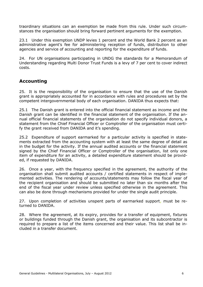traordinary situations can an exemption be made from this rule. Under such circumstances the organisation should bring forward pertinent arguments for the exemption.

23.1 Under this exemption UNDP levies 1 percent and the World Bank 2 percent as an administrative agent's fee for administering reception of funds, distribution to other agencies and service of accounting and reporting for the expenditure of funds.

24. For UN organisations participating in UNDG the standards for a Memorandum of Understanding regarding Multi Donor Trust Funds is a levy of 7 per cent to cover indirect costs.

### <span id="page-5-0"></span>**Accounting**

25. It is the responsibility of the organisation to ensure that the use of the Danish grant is appropriately accounted for in accordance with rules and procedures set by the competent intergovernmental body of each organisation. DANIDA thus expects that:

25.1 The Danish grant is entered into the official financial statement as income and the Danish grant can be identified in the financial statement of the organisation. If the annual official financial statements of the organisation do not specify individual donors, a statement from the Chief Financial Officer or Comptroller of the organisation must certify the grant received from DANIDA and it's spending.

25.2 Expenditure of support earmarked for a particular activity is specified in statements extracted from the accounting system with at least the same degree of detail as in the budget for the activity. If the annual audited accounts or the financial statement signed by the Chief Financial Officer or Comptroller of the organisation, list only one item of expenditure for an activity, a detailed expenditure statement should be provided, if requested by DANIDA.

26. Once a year, with the frequency specified in the agreement, the authority of the organisation shall submit audited accounts / certified statements in respect of implemented activities. The rendering of accounts/statements may follow the fiscal year of the recipient organisation and should be submitted no later than six months after the end of the fiscal year under review unless specified otherwise in the agreement. This can also be done through mechanisms provided for under the single audit principle.

27. Upon completion of activities unspent parts of earmarked support, must be returned to DANIDA.

<span id="page-5-1"></span>28. Where the agreement, at its expiry, provides for a transfer of equipment, fixtures or buildings funded through the Danish grant, the organisation and its subcontractor is required to prepare a list of the items concerned and their value. This list shall be included in a transfer document.